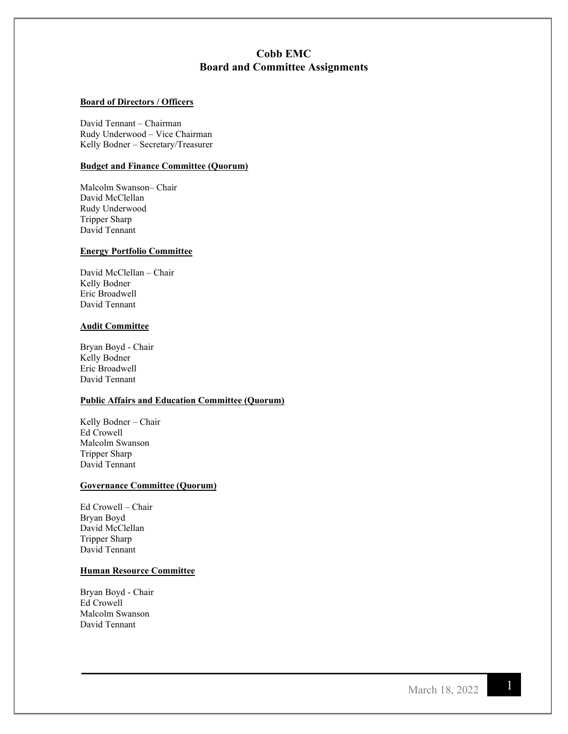# **Cobb EMC Board and Committee Assignments**

# **Board of Directors / Officers**

David Tennant – Chairman Rudy Underwood – Vice Chairman Kelly Bodner – Secretary/Treasurer

### **Budget and Finance Committee (Quorum)**

Malcolm Swanson– Chair David McClellan Rudy Underwood Tripper Sharp David Tennant

# **Energy Portfolio Committee**

David McClellan – Chair Kelly Bodner Eric Broadwell David Tennant

#### **Audit Committee**

Bryan Boyd - Chair Kelly Bodner Eric Broadwell David Tennant

## **Public Affairs and Education Committee (Quorum)**

Kelly Bodner – Chair Ed Crowell Malcolm Swanson Tripper Sharp David Tennant

# **Governance Committee (Quorum)**

Ed Crowell – Chair Bryan Boyd David McClellan Tripper Sharp David Tennant

# **Human Resource Committee**

Bryan Boyd - Chair Ed Crowell Malcolm Swanson David Tennant